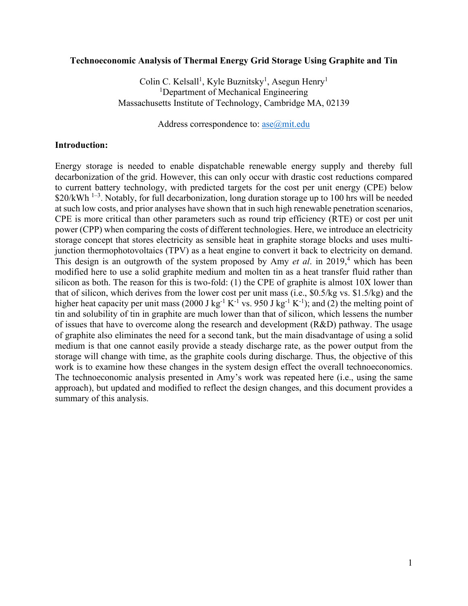#### **Technoeconomic Analysis of Thermal Energy Grid Storage Using Graphite and Tin**

Colin C. Kelsall<sup>1</sup>, Kyle Buznitsky<sup>1</sup>, Asegun Henry<sup>1</sup> <sup>1</sup>Department of Mechanical Engineering Massachusetts Institute of Technology, Cambridge MA, 02139

Address correspondence to: [ase@mit.edu](mailto:ase@mit.edu)

#### **Introduction:**

Energy storage is needed to enable dispatchable renewable energy supply and thereby full decarbonization of the grid. However, this can only occur with drastic cost reductions compared to current battery technology, with predicted targets for the cost per unit energy (CPE) below \$20/kWh<sup>1-3</sup>. Notably, for full decarbonization, long duration storage up to 100 hrs will be needed at such low costs, and prior analyses have shown that in such high renewable penetration scenarios, CPE is more critical than other parameters such as round trip efficiency (RTE) or cost per unit power (CPP) when comparing the costs of different technologies. Here, we introduce an electricity storage concept that stores electricity as sensible heat in graphite storage blocks and uses multijunction thermophotovoltaics (TPV) as a heat engine to convert it back to electricity on demand. This design is an outgrowth of the system proposed by Amy *et al*. in 2019, <sup>4</sup> which has been modified here to use a solid graphite medium and molten tin as a heat transfer fluid rather than silicon as both. The reason for this is two-fold: (1) the CPE of graphite is almost 10X lower than that of silicon, which derives from the lower cost per unit mass (i.e., \$0.5/kg vs. \$1.5/kg) and the higher heat capacity per unit mass (2000 J kg<sup>-1</sup> K<sup>-1</sup> vs. 950 J kg<sup>-1</sup> K<sup>-1</sup>); and (2) the melting point of tin and solubility of tin in graphite are much lower than that of silicon, which lessens the number of issues that have to overcome along the research and development (R&D) pathway. The usage of graphite also eliminates the need for a second tank, but the main disadvantage of using a solid medium is that one cannot easily provide a steady discharge rate, as the power output from the storage will change with time, as the graphite cools during discharge. Thus, the objective of this work is to examine how these changes in the system design effect the overall technoeconomics. The technoeconomic analysis presented in Amy's work was repeated here (i.e., using the same approach), but updated and modified to reflect the design changes, and this document provides a summary of this analysis.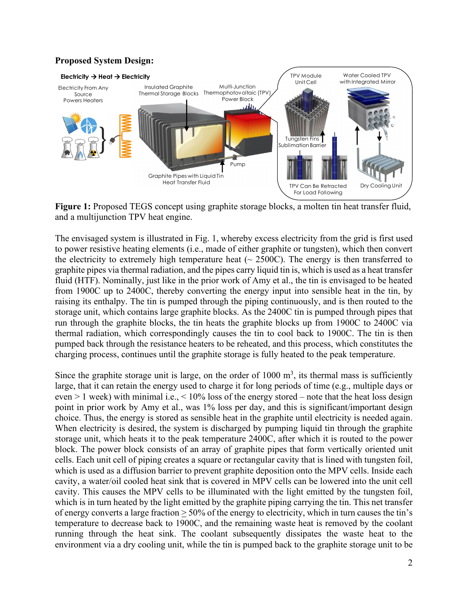## **Proposed System Design:**



**Figure 1:** Proposed TEGS concept using graphite storage blocks, a molten tin heat transfer fluid, and a multijunction TPV heat engine.

The envisaged system is illustrated in Fig. 1, whereby excess electricity from the grid is first used to power resistive heating elements (i.e., made of either graphite or tungsten), which then convert the electricity to extremely high temperature heat ( $\sim$  2500C). The energy is then transferred to graphite pipes via thermal radiation, and the pipes carry liquid tin is, which is used as a heat transfer fluid (HTF). Nominally, just like in the prior work of Amy et al., the tin is envisaged to be heated from 1900C up to 2400C, thereby converting the energy input into sensible heat in the tin, by raising its enthalpy. The tin is pumped through the piping continuously, and is then routed to the storage unit, which contains large graphite blocks. As the 2400C tin is pumped through pipes that run through the graphite blocks, the tin heats the graphite blocks up from 1900C to 2400C via thermal radiation, which correspondingly causes the tin to cool back to 1900C. The tin is then pumped back through the resistance heaters to be reheated, and this process, which constitutes the charging process, continues until the graphite storage is fully heated to the peak temperature.

Since the graphite storage unit is large, on the order of  $1000 \text{ m}^3$ , its thermal mass is sufficiently large, that it can retain the energy used to charge it for long periods of time (e.g., multiple days or even > 1 week) with minimal i.e., < 10% loss of the energy stored – note that the heat loss design point in prior work by Amy et al., was 1% loss per day, and this is significant/important design choice. Thus, the energy is stored as sensible heat in the graphite until electricity is needed again. When electricity is desired, the system is discharged by pumping liquid tin through the graphite storage unit, which heats it to the peak temperature 2400C, after which it is routed to the power block. The power block consists of an array of graphite pipes that form vertically oriented unit cells. Each unit cell of piping creates a square or rectangular cavity that is lined with tungsten foil, which is used as a diffusion barrier to prevent graphite deposition onto the MPV cells. Inside each cavity, a water/oil cooled heat sink that is covered in MPV cells can be lowered into the unit cell cavity. This causes the MPV cells to be illuminated with the light emitted by the tungsten foil, which is in turn heated by the light emitted by the graphite piping carrying the tin. This net transfer of energy converts a large fraction > 50% of the energy to electricity, which in turn causes the tin's temperature to decrease back to 1900C, and the remaining waste heat is removed by the coolant running through the heat sink. The coolant subsequently dissipates the waste heat to the environment via a dry cooling unit, while the tin is pumped back to the graphite storage unit to be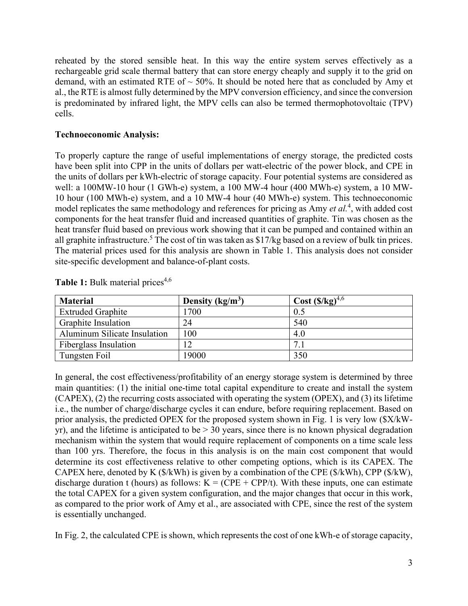reheated by the stored sensible heat. In this way the entire system serves effectively as a rechargeable grid scale thermal battery that can store energy cheaply and supply it to the grid on demand, with an estimated RTE of  $\sim$  50%. It should be noted here that as concluded by Amy et al., the RTE is almost fully determined by the MPV conversion efficiency, and since the conversion is predominated by infrared light, the MPV cells can also be termed thermophotovoltaic (TPV) cells.

## **Technoeconomic Analysis:**

To properly capture the range of useful implementations of energy storage, the predicted costs have been split into CPP in the units of dollars per watt-electric of the power block, and CPE in the units of dollars per kWh-electric of storage capacity. Four potential systems are considered as well: a 100MW-10 hour (1 GWh-e) system, a 100 MW-4 hour (400 MWh-e) system, a 10 MW-10 hour (100 MWh-e) system, and a 10 MW-4 hour (40 MWh-e) system. This technoeconomic model replicates the same methodology and references for pricing as Amy *et al.*<sup>4</sup> , with added cost components for the heat transfer fluid and increased quantities of graphite. Tin was chosen as the heat transfer fluid based on previous work showing that it can be pumped and contained within an all graphite infrastructure.<sup>5</sup> The cost of tin was taken as  $\frac{17}{kg}$  based on a review of bulk tin prices. The material prices used for this analysis are shown in Table 1. This analysis does not consider site-specific development and balance-of-plant costs.

| <b>Material</b>              | Density ( $kg/m3$ ) | Cost $(\frac{S}{kg})^{4,6}$ |
|------------------------------|---------------------|-----------------------------|
| <b>Extruded Graphite</b>     | 1700                | 0.5                         |
| <b>Graphite Insulation</b>   | 24                  | 540                         |
| Aluminum Silicate Insulation | 100                 | 4.0                         |
| Fiberglass Insulation        |                     | 7 <sub>1</sub>              |
| Tungsten Foil                | 19000               | 350                         |

**Table 1:** Bulk material prices<sup>4,6</sup>

In general, the cost effectiveness/profitability of an energy storage system is determined by three main quantities: (1) the initial one-time total capital expenditure to create and install the system (CAPEX), (2) the recurring costs associated with operating the system (OPEX), and (3) its lifetime i.e., the number of charge/discharge cycles it can endure, before requiring replacement. Based on prior analysis, the predicted OPEX for the proposed system shown in Fig. 1 is very low (\$X/kWyr), and the lifetime is anticipated to be  $> 30$  years, since there is no known physical degradation mechanism within the system that would require replacement of components on a time scale less than 100 yrs. Therefore, the focus in this analysis is on the main cost component that would determine its cost effectiveness relative to other competing options, which is its CAPEX. The CAPEX here, denoted by K (\$/kWh) is given by a combination of the CPE (\$/kWh), CPP (\$/kW), discharge duration t (hours) as follows:  $K = (CPE + CPP/t)$ . With these inputs, one can estimate the total CAPEX for a given system configuration, and the major changes that occur in this work, as compared to the prior work of Amy et al., are associated with CPE, since the rest of the system is essentially unchanged.

In Fig. 2, the calculated CPE is shown, which represents the cost of one kWh-e of storage capacity,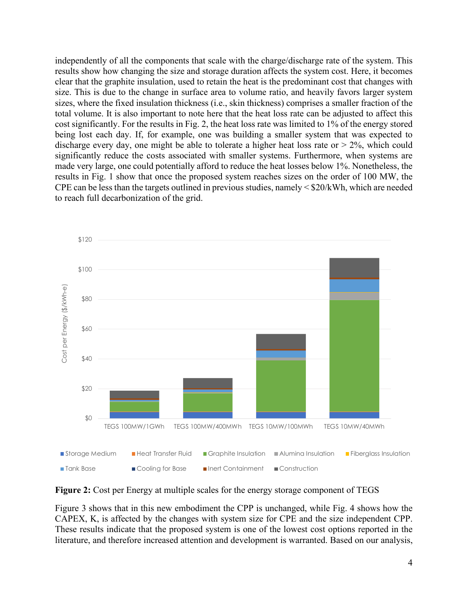independently of all the components that scale with the charge/discharge rate of the system. This results show how changing the size and storage duration affects the system cost. Here, it becomes clear that the graphite insulation, used to retain the heat is the predominant cost that changes with size. This is due to the change in surface area to volume ratio, and heavily favors larger system sizes, where the fixed insulation thickness (i.e., skin thickness) comprises a smaller fraction of the total volume. It is also important to note here that the heat loss rate can be adjusted to affect this cost significantly. For the results in Fig. 2, the heat loss rate was limited to 1% of the energy stored being lost each day. If, for example, one was building a smaller system that was expected to discharge every day, one might be able to tolerate a higher heat loss rate or  $> 2\%$ , which could significantly reduce the costs associated with smaller systems. Furthermore, when systems are made very large, one could potentially afford to reduce the heat losses below 1%. Nonetheless, the results in Fig. 1 show that once the proposed system reaches sizes on the order of 100 MW, the CPE can be less than the targets outlined in previous studies, namely  $\leq$  \$20/kWh, which are needed to reach full decarbonization of the grid.



**Figure 2:** Cost per Energy at multiple scales for the energy storage component of TEGS

Figure 3 shows that in this new embodiment the CPP is unchanged, while Fig. 4 shows how the CAPEX, K, is affected by the changes with system size for CPE and the size independent CPP. These results indicate that the proposed system is one of the lowest cost options reported in the literature, and therefore increased attention and development is warranted. Based on our analysis,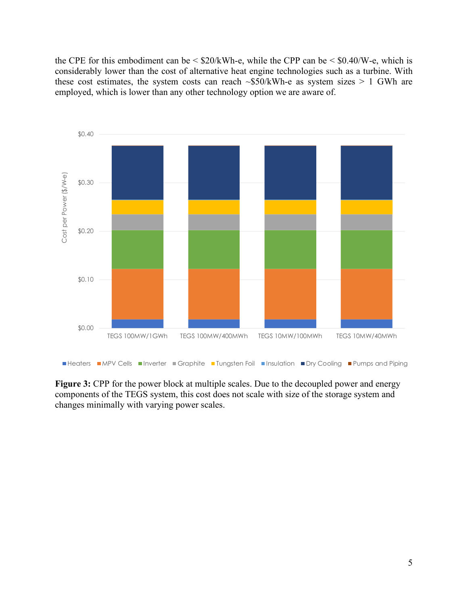the CPE for this embodiment can be  $\leq$  \$20/kWh-e, while the CPP can be  $\leq$  \$0.40/W-e, which is considerably lower than the cost of alternative heat engine technologies such as a turbine. With these cost estimates, the system costs can reach  $\sim$ \$50/kWh-e as system sizes > 1 GWh are employed, which is lower than any other technology option we are aware of.



**Figure 3:** CPP for the power block at multiple scales. Due to the decoupled power and energy components of the TEGS system, this cost does not scale with size of the storage system and changes minimally with varying power scales.